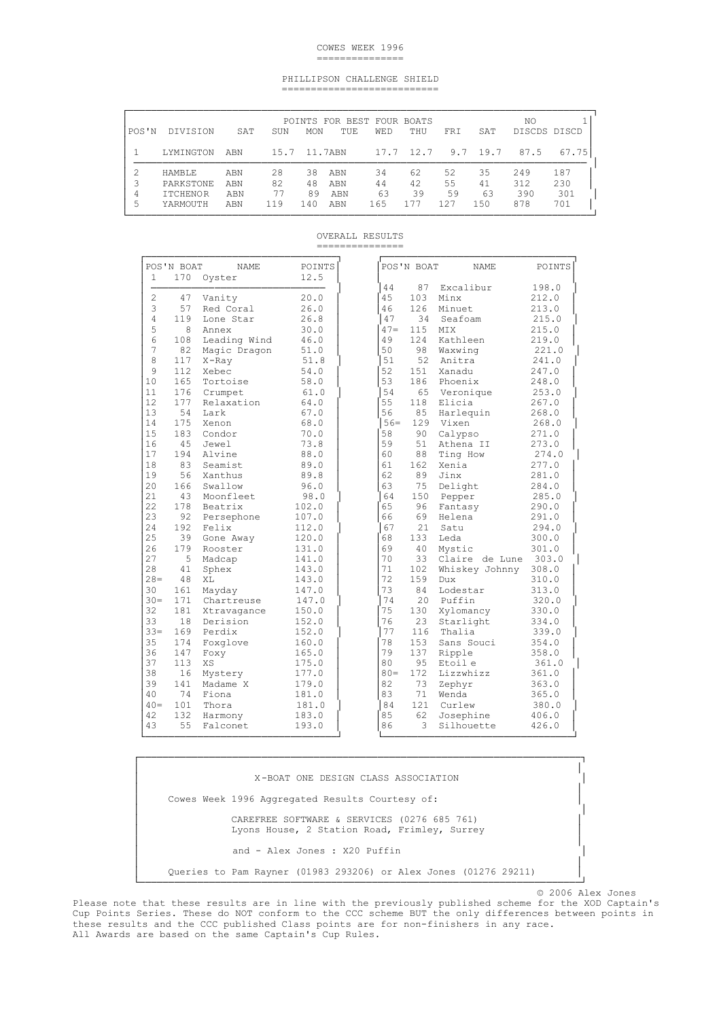## COWES WEEK 1996 ===============

## PHILLIPSON CHALLENGE SHIELD ===========================

| POS'N  | DIVISION                                                  | SAT                      | SUN                   | <b>MON</b>             | POINTS FOR BEST FOUR BOATS<br>TUE | <b>WED</b>            | THU                   | <b>FRT</b>            | SAT                   | NΟ<br>DISCDS DISCD       |                          |
|--------|-----------------------------------------------------------|--------------------------|-----------------------|------------------------|-----------------------------------|-----------------------|-----------------------|-----------------------|-----------------------|--------------------------|--------------------------|
|        | LYMINGTON                                                 | ABN                      | 15.7                  |                        | 11.7ABN                           |                       | 17.7 12.7             | 9.7                   | 19.7                  | 87.5                     | 67.75                    |
| 4<br>5 | <b>HAMBLE</b><br>PARKSTONE<br><b>TTCHENOR</b><br>YARMOUTH | ABN<br>ABN<br>ABN<br>ABN | 28<br>82<br>77<br>119 | 38.<br>48<br>89<br>140 | ABN<br>ABN<br>ABN<br>ABN          | 34<br>44<br>63<br>165 | 62<br>42<br>39<br>177 | 52<br>55<br>59<br>127 | 35<br>41<br>63<br>150 | 249<br>312<br>390<br>878 | 187<br>230<br>301<br>701 |

OVERALL RESULTS ===============

| 1              | POS'N BOAT<br>170 | <b>NAME</b><br>Oyster   | POINTS<br>12.5 |
|----------------|-------------------|-------------------------|----------------|
|                |                   |                         |                |
| $\overline{c}$ | 47                | Vanity                  | 20.0           |
| 3              | 57                | Red Coral               | 26.0           |
| 4              | 119               | Lone Star               | 26.8           |
| 5              | 8                 | Annex                   | 30.0           |
| 6              | 108               | Leading Wind            | 46.0           |
| 7              | 82                | Magic Dragon            | 51.0           |
| 8              | 117               | $X$ -Ray                | 51.8           |
| 9              | 112               | Xebec                   | 54.0           |
| 10             | 165               | Tortoise                | 58.0           |
| 11             | 176               | Crumpet                 | 61.0           |
| 12             | 177               | Relaxation              | 64.0           |
| 13             | 54                | Lark                    | 67.0           |
| 14             | 175               | Xenon                   | 68.0           |
| 15             | 183               | Condor                  | 70.0           |
| 16             | 45                | Jewel                   | 73.8           |
| 17             | 194               | Alvine                  | 88.0           |
| 18             | 83                | Seamist                 | 89.0           |
| 19             | 56                | Xanthus                 | 89.8           |
| 20             | 166               | Swallow                 | 96.0           |
| 21             | 43                | Moonfleet               | 98.0           |
| 22             | 178               | Beatrix                 | 102.0          |
| 23             | 92                | Persephone              | 107.0          |
| 24             | 192               | Felix                   | 112.0          |
| 25             | 39                |                         | 120.0          |
| 26             | 179               | Gone Away<br>Rooster    | 131.0          |
| 27             | 5                 | Madcap                  | 141.0          |
| 28             | 41                |                         | 143.0          |
| $28 =$         | 48                | Sphex<br>ХL             | 143.0          |
| 30             | 161               | Mayday                  | 147.0          |
| $30 =$         | 171               | Chartreuse              | 147.0          |
| 32             | 181               |                         | 150.0          |
| 33             | 18                | Xtravagance<br>Derision |                |
| $33 =$         | 169               |                         | 152.0          |
| 35             | 174               | Perdix                  | 152.0          |
|                |                   | Foxglove                | 160.0          |
| 36             | 147               | Foxy                    | 165.0          |
| 37             | 113               | XS                      | 175.0          |
| 38             | 16                | Mystery                 | 177.0          |
| 39             | 141               | Madame X                | 179.0          |
| 40             | 74                | Fiona                   | 181.0          |
| $40 =$         | 101               | Thora                   | 181.0          |
| 42             | 132               | Harmony                 | 183.0          |
| 43             | 55                | Falconet                | 193.0          |

│ │ │ X-BOAT ONE DESIGN CLASS ASSOCIATION │ │ │ Cowes Week 1996 Aggregated Results Courtesy of: │ │ │ CAREFREE SOFTWARE & SERVICES (0276 685 761) │ Lyons House, 2 Station Road, Frimley, Surrey │ │ │ and - Alex Jones : X20 Puffin │ │ │ │ Queries to Pam Rayner (01983 293206) or Alex Jones (01276 29211) │ │ └────────────────────────────────────────────────────────────────────────────┘

└─────────────────────────────────┘ └─────────────────────────────────┘ ┌────────────────────────────────────────────────────────────────────────────┐

© 2006 Alex Jones

 Please note that these results are in line with the previously published scheme for the XOD Captain's Cup Points Series. These do NOT conform to the CCC scheme BUT the only differences between points in these results and the CCC published Class points are for non-finishers in any race. All Awards are based on the same Captain's Cup Rules.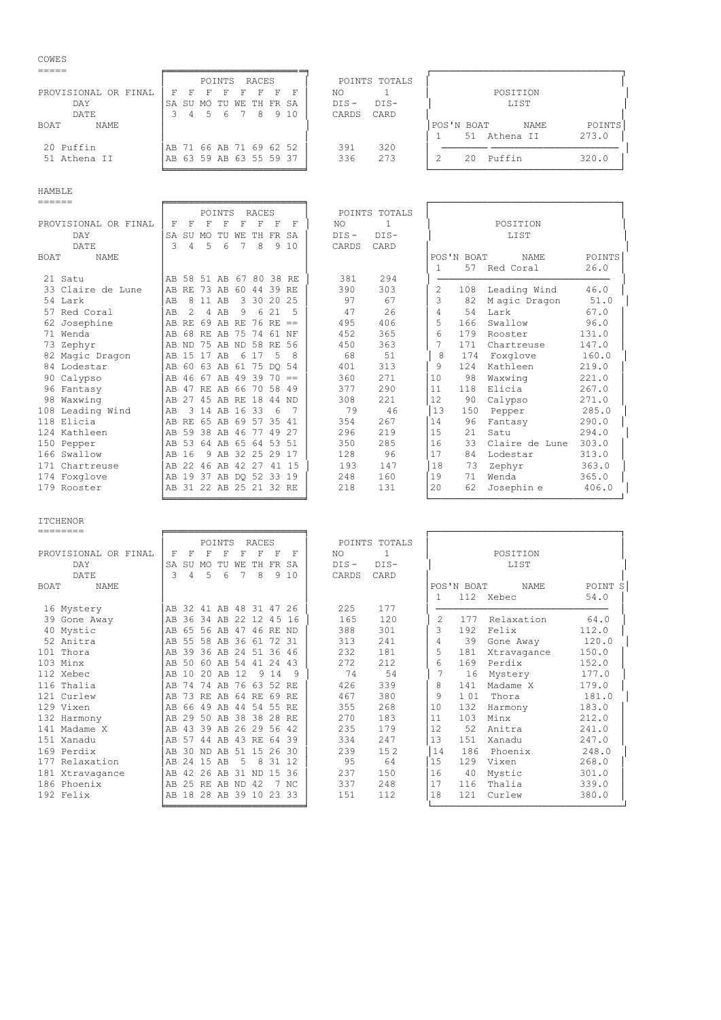| COWES                      |                                                      |                                                |
|----------------------------|------------------------------------------------------|------------------------------------------------|
| -----                      |                                                      |                                                |
|                            | POINTS<br>RACES                                      | POINTS TOTALS                                  |
| PROVISIONAL<br>OR FINAL    | F<br>F<br>F                                          | NO.<br>POSITION                                |
| DAY                        | SA<br>SA<br>SU<br>TU<br>TН<br>FR<br>WF.<br>MO        | $DIS -$<br>$DIS-$<br>LIST                      |
| DATE                       | 6<br>8<br>9 10<br>3<br>5<br>4                        | CARD<br>CARDS                                  |
| <b>NAME</b><br>BOAT        |                                                      | POINTS<br>POS'N BOAT<br><b>NAME</b>            |
|                            |                                                      | 51 Athena II<br>273.0<br>1.                    |
| 20 Puffin                  | 71 66 AB 71 69 62 52<br>AB.                          | 320<br>391                                     |
| 51 Athena II               | 63 59 AB 63 55 59 37<br>AB                           | 336<br>273<br>Puffin<br>2<br>320.0<br>20       |
|                            |                                                      |                                                |
|                            |                                                      |                                                |
|                            |                                                      |                                                |
| <b>HAMBLE</b>              |                                                      |                                                |
|                            |                                                      |                                                |
|                            | <b>RACES</b><br>POINTS                               | POINTS TOTALS                                  |
| PROVISIONAL<br>OR FINAL    | F<br>F<br>F<br>F<br>F<br>F                           | NO.<br>POSITION                                |
| DAY                        | SA<br>SA<br>FR<br>SU<br>TU<br>TН<br>WF.<br>MO        | $DIS -$<br>$DIS-$<br>LIST                      |
| DATE                       | 9 10<br>3<br>8<br>5<br>6<br>4                        | CARD<br>CARDS                                  |
| <b>BOAT</b><br><b>NAME</b> |                                                      | POINTS<br>POS'N BOAT<br><b>NAME</b>            |
|                            |                                                      | 26.0<br>57<br>Red Coral                        |
| 21 Satu                    | 80<br>38<br>51<br>AB<br>67<br>RE<br>AB<br>58         | 294<br>381                                     |
| 33 Claire de Lune          | 39<br>AB<br>73<br>AB<br>60<br>44<br><b>RE</b><br>RF. | Leading Wind<br>390<br>303<br>2<br>46.0<br>108 |

 57 Red Coral │AB 2 4 AB 9 6 21 5 │ 47 26 │ 4 54 Lark 67.0 │ 62 Josephine │AB RE 69 AB RE 76 RE == │ 495 406 │ 5 166 Swallow 96.0 │ 71 Wenda │AB 68 RE AB 75 74 61 NF │ 452 365 │ 6 179 Rooster 131.0 │

 82 Magic Dragon │AB 15 17 AB 6 17 5 8 │ 68 51 │ 8 174 Foxglove 160.0 │ 84 Lodestar │AB 60 63 AB 61 75 DQ 54 │ 401 313 │ 9 124 Kathleen 219.0<br>90 Calypso │AB 46 67 AB 49 39 70 == │ 360 271 │ 10 98 Waxwing 221.0 90 Calypso │AB 46 67 AB 49 39 70 == │ 360 271 │10 98 Waxwing 221.0 │ 96 Fantasy │AB 47 RE AB 66 70 58 49 │ 377 290 │11 118 Elicia 267.0 │ 98 Waxwing │AB 27 45 AB RE 18 44 ND │ 308 221 │12 90 Calypso 271.0 │ 108 Leading Wind 18 3 14 AB 16 33 6 7 79 46 13 150 Pepper 285.0<br>118 Elicia 18 AB RE 65 AB 69 57 35 41 354 267 14 96 Fantasy 290.0 118 Elicia │<br>124 Kathleen │AB RE 65 AB 69 57 35 41 │ 354 267 │14 96 Fantasy 290.0 │<br>124 Kathleen │AB 59 38 AB 46 77 49 27 │ 296 219 │15 21 Satu 294.0 124 Kathleen │AB 59 38 AB 46 77 49 27 │ 296 219 │15 21 Satu 294.0 │ 150 Pepper │<br>166 Swallow │AB 16 9 AB 32 25 29 17 │ 128 96 │ 17 84 Lodestar 313.0 166 Swallow │AB 16 9 AB 32 25 29 17 │ 128 96 │17 84 Lodestar 313.0<br>171 Chartreuse │AB 22 46 AB 42 27 41 15 │ 193 147 │18 73 Zephyr 363.0 171 Chartreuse │AB 22 46 AB 42 27 41 15 │ 193 147 │18 73 Zephyr 363.0 │<br>174 Foxglove │AB 19 37 AB DO 52 33 19 │ 248 160 │19 71 Wenda 365.0 174 Foxglove │AB 19 37 AB DQ 52 33 19 │ 248 160 │19 71 Wenda 365.0 │

╘════════════════════════╛ └─────────────────────────────────┘

|<br>|AB 31 22 AB 25 21 32 RE

**AB ND 75 AB ND 58 RE 56 │ 450 363 │ 7 171 Chartreuse 147.0**<br> **AB 15 17 AB 6 17 5 8 │ 68 051 │ 8 174 Foxglove 160.0** 

| --------                   |                         |    |          |                |    |                      |       |                      |         |               |    |            |             |         |
|----------------------------|-------------------------|----|----------|----------------|----|----------------------|-------|----------------------|---------|---------------|----|------------|-------------|---------|
|                            |                         |    |          | POINTS         |    | RACES                |       |                      |         | POINTS TOTALS |    |            |             |         |
| PROVISIONAL OR FINAL       | F                       | F  | F        | F              | F  |                      | F     | F                    | NO.     | 1             |    |            | POSITION    |         |
| DAY                        | <b>SA</b>               | SU | MO       | TU             | WЕ | TH.                  | FR    | SA                   | $DIS -$ | DIS-          |    |            | LIST        |         |
| DATE.                      | 3                       | 4  | 5        | 6              |    | 8                    | 9     | 10                   | CARDS   | CARD          |    |            |             |         |
| <b>NAME</b><br><b>BOAT</b> |                         |    |          |                |    |                      |       |                      |         |               |    | POS'N BOAT | <b>NAME</b> | POINT S |
|                            |                         |    |          |                |    |                      |       |                      |         |               |    |            | 112 Xebec   | 54.0    |
| 16 Mystery                 | AB 32 41 AB 48 31 47 26 |    |          |                |    |                      |       |                      | 225     | 177           |    |            |             |         |
| 39 Gone Away               | AB                      |    |          |                |    |                      |       | 36 34 AB 22 12 45 16 | 165     | 120           | 2  | 177        | Relaxation  | 64.0    |
| 40 Mystic                  | AB                      | 65 |          | 56 AB 47       |    | 46 RE ND             |       |                      | 388     | 301           | 3  | 192        | Felix       | 112.0   |
| 52 Anitra                  | AB                      | 55 |          |                |    | 58 AB 36 61          | 72 31 |                      | 313     | 2.41          | 4  | 39         | Gone Away   | 120.0   |
| 101 Thora                  | AB                      |    |          |                |    | 39 36 AB 24 51 36 46 |       |                      | 232     | 181           | 5  | 181        | Xtravagance | 150.0   |
| 103 Minx                   | AB                      | 50 |          | 60 AB 54       |    | 41                   | 24 43 |                      | 272     | 212           | 6  | 169        | Perdix      | 152.0   |
| 112 Xebec                  | AB                      | 10 |          | 20 AB 12       |    | -9                   | 14    | 9                    | 74      | 54            | 7  | 16         | Mystery     | 177.0   |
| 116 Thalia                 | AB                      | 74 |          | 74 AB          |    | 76 63 52 RE          |       |                      | 426     | 339           | 8  | 141        | Madame X    | 179.0   |
| 121 Curlew                 | AB                      |    | 73 RE AB |                |    | 64 RE 69             |       | RF.                  | 467     | 380           | 9  | 101        | Thora       | 181.0   |
| 129 Vixen                  | AB                      |    |          |                |    | 66 49 AB 44 54 55 RE |       |                      | 355     | 268           | 10 | 132        | Harmony     | 183.0   |
| 132 Harmony                | AB                      | 29 |          |                |    | 50 AB 38 38 28 RE    |       |                      | 270     | 183           | 11 | 103        | Minx        | 212.0   |
| 141 Madame X               | AB                      | 43 | 39 AB    |                |    | 26 29 56 42          |       |                      | 235     | 179           | 12 | 52         | Anitra      | 241.0   |
| 151 Xanadu                 | AB                      | 57 |          |                |    | 44 AB 43 RE 64 39    |       |                      | 334     | 247           | 13 | 151        | Xanadu      | 247.0   |
| 169 Perdix                 | AB                      |    | 30 ND AB |                |    | 51 15 26 30          |       |                      | 239     | 152           | 14 | 186        | Phoenix     | 248.0   |
| 177 Relaxation             | AB                      | 24 | 15 AB    |                | .5 | 8                    | 31 12 |                      | 95      | 64            | 15 | 129        | Vixen       | 268.0   |
| 181 Xtravagance            | AB                      | 42 | 26 AB    |                |    | 31 ND 15             |       | -36                  | 237     | 150           | 16 | 40         | Mystic      | 301.0   |
| 186 Phoenix                | AB                      |    |          | 25 RE AB ND 42 |    |                      | 7     | NC.                  | 337     | 248           | 17 | 116        | Thalia      | 339.0   |
| 192 Felix                  | AB 18 28 AB 39 10 23 33 |    |          |                |    |                      |       |                      | 151     | 112.          | 18 | 121        | Curlew      | 380.0   |
|                            |                         |    |          |                |    |                      |       |                      |         |               |    |            |             |         |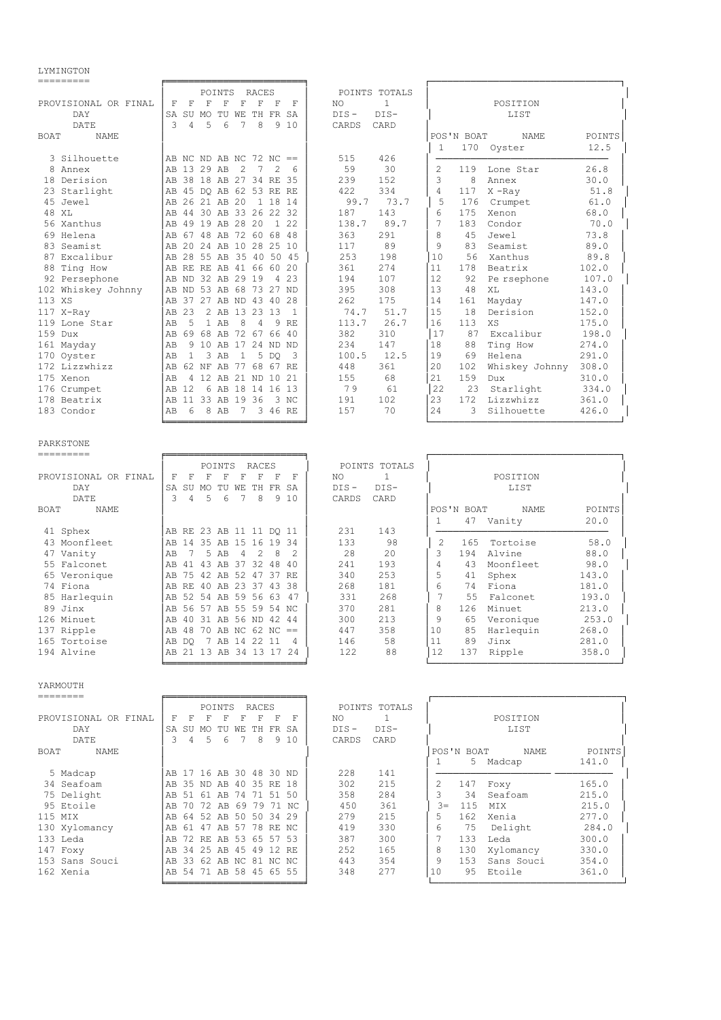LYMINGTON

| ---------                  |                                                                                                   |                     |                                            |
|----------------------------|---------------------------------------------------------------------------------------------------|---------------------|--------------------------------------------|
|                            | POINTS<br>RACES                                                                                   | POINTS TOTALS       |                                            |
| PROVISIONAL OR FINAL       | $\mathbf F$<br>$\mathbf F$<br>$\mathbf F$<br>$\mathbf F$<br>F<br>F<br>F<br>-F                     | $\mathbf{1}$<br>NO. | POSITION                                   |
| DAY                        | SA SU MO TU WE TH FR SA                                                                           | $DIS -$<br>$DIS-$   | LIST                                       |
| DATE                       | 3<br>$\overline{4}$<br>5<br>6<br>7<br>8<br>9<br>10                                                | CARDS<br>CARD       |                                            |
|                            |                                                                                                   |                     |                                            |
| BOAT<br><b>NAME</b>        |                                                                                                   |                     | POS'N BOAT<br>NAME<br>POINTS               |
|                            |                                                                                                   |                     | 170<br>12.5<br>1<br>Oyster                 |
| 3 Silhouette               | AB NC ND AB NC $72$ NC $==$                                                                       | 515<br>426          |                                            |
| 8 Annex                    | AB 13 29 AB<br>$\mathcal{L}$<br>$7\phantom{.0}$<br>$\mathcal{D}$<br>6                             | 59<br>30            | $\overline{2}$<br>26.8<br>119<br>Lone Star |
| 18 Derision                | AB 38 18 AB 27 34 RE 35                                                                           | 239<br>152          | 3<br>8<br>30.0<br>Annex                    |
| 23 Starlight               | AB 45 DO AB<br>62 53 RE RE                                                                        | 422<br>334          | 4<br>$X$ -Ray<br>117<br>51.8               |
| 45 Jewel                   | AB 26 21 AB 20<br>1 18 14                                                                         | 99.7<br>73.7        | 5<br>176<br>Crumpet<br>61.0                |
| 48 XT.                     | AB 44 30 AB 33 26 22<br>32                                                                        | 187<br>143          | 6<br>175<br>Xenon<br>68.0                  |
| 56 Xanthus                 | AB 49 19 AB 28 20<br>1 2 2                                                                        | 138.7<br>89.7       | 7<br>183<br>Condor<br>70.0                 |
| 69 Helena                  | AB 67 48 AB 72 60<br>68<br>-48                                                                    | 363<br>291          | 8<br>4.5<br>Jewel<br>73.8                  |
| 83 Seamist                 | AB 20 24 AB 10 28 25 10                                                                           | 89<br>117           | 9<br>83<br>Seamist<br>89.0                 |
| 87 Excalibur               | AB 28 55 AB 35 40 50<br>- 45                                                                      | 253<br>198          | 10<br>56<br>Xanthus<br>89.8                |
| 88 Ting How                | AB RE RE AB 41 66 60<br>20                                                                        | 361<br>274          | 11<br>102.0<br>178<br>Beatrix              |
| 92 Persephone              | AB ND 32 AB 29 19<br>23<br>4                                                                      | 194<br>107          | 12<br>92<br>Pe rsephone<br>107.0           |
| 102 Whiskey Johnny         | ND 53 AB 68 73 27 ND<br>AB                                                                        | 395<br>308          | 13<br>48<br>143.0<br>XL                    |
|                            | 37 27 AB ND 43 40<br>28<br>AB                                                                     | 262<br>175          | 14<br>147.0                                |
| 113 XS                     |                                                                                                   |                     | 161<br>Mayday                              |
| 117 X-Ray                  | AB 23<br>2 AB 13 23 13<br>1                                                                       | 74.7<br>51.7        | 15<br>18<br>Derision<br>152.0              |
| 119 Lone Star              | $\mathbf{1}$<br>8<br>AB<br>.5<br>AB<br>4<br>9<br><b>RE</b>                                        | 113.7<br>26.7       | 16<br>113<br>XS<br>175.0                   |
| 159 Dux                    | AB 69 68 AB 72 67 66<br>-40                                                                       | 382<br>310          | 17<br>87<br>Excalibur<br>198.0             |
| 161 Mayday                 | 9 10 AB 17 24 ND ND<br>AB                                                                         | 234<br>147          | Ting How<br>18<br>88<br>274.0              |
| 170 Oyster                 | $\overline{1}$<br>3 AB<br>5<br>AB<br>1<br>DO<br>3                                                 | 100.5<br>12.5       | 19<br>69<br>Helena<br>291.0                |
| 172 Lizzwhizz              | AB 62 NF AB<br>77 68<br>67 RE                                                                     | 448<br>361          | 20<br>Whiskey Johnny<br>102<br>308.0       |
| 175 Xenon                  | 4 12 AB 21 ND 10 21<br>AB                                                                         | 155<br>68           | 21<br>159<br>Dux<br>310.0                  |
| 176 Crumpet                | AB 12<br>6 AB 18 14 16<br>13                                                                      | 79<br>61            | 22<br>23<br>Starlight<br>334.0             |
| 178 Beatrix                | AB 11 33 AB 19 36<br>3 NC                                                                         | 191<br>102          | 23<br>172<br>Lizzwhizz<br>361.0            |
| 183 Condor                 | 8 AB<br>$7\phantom{.0}$<br>3 46 RE<br>AB<br>-6                                                    | 157<br>70           | 2.4<br>3<br>Silhouette<br>426.0            |
|                            |                                                                                                   |                     |                                            |
|                            |                                                                                                   |                     |                                            |
| PARKSTONE                  |                                                                                                   |                     |                                            |
| ----------                 |                                                                                                   |                     |                                            |
|                            | POINTS<br><b>RACES</b>                                                                            | POINTS TOTALS       |                                            |
| PROVISIONAL OR FINAL       | $\mathbf F$<br>$\overline{\mathrm{F}}$<br>$\mathbb F$<br>$\mathbf F$<br>$_{\rm F}$<br>F<br>F<br>F | $\mathbf{1}$<br>NO. | POSITION                                   |
| DAY                        | SA SU MO TU WE TH FR SA                                                                           | $DIS-$<br>$DIS -$   | LIST                                       |
| DATE                       | 3<br>5<br>6<br>7<br>8<br>9 10<br>4                                                                | CARDS<br>CARD       |                                            |
| <b>BOAT</b><br><b>NAME</b> |                                                                                                   |                     | POS'N BOAT<br><b>NAME</b><br>POINTS        |
|                            |                                                                                                   |                     | $\mathbf{1}$<br>47 Vanity<br>20.0          |
| 41 Sphex                   | AB RE 23 AB 11 11 DQ 11                                                                           | 231<br>143          |                                            |
| 43 Moonfleet               | AB 14 35 AB 15 16 19 34                                                                           | 133<br>98           | 2<br>Tortoise<br>58.0<br>165               |
| 47 Vanity                  | 7<br>5 AB<br>$\overline{4}$<br>2<br>8<br>$\overline{c}$<br>AB                                     | 28<br>20            | 3<br>194<br>Alvine<br>88.0                 |
| 55 Falconet                | 41 43 AB<br>37 32 48<br>AB<br>-40                                                                 | 241<br>193          | 4<br>43<br>Moonfleet<br>98.0               |
| 65 Veronique               | AB 75 42 AB 52 47 37 RE                                                                           | 340<br>253          | 5<br>41<br>Sphex<br>143.0                  |
|                            |                                                                                                   |                     |                                            |
| 74 Fiona                   | AB RE 40 AB 23 37 43<br>38                                                                        | 268<br>181          | 6<br>74<br>Fiona<br>181.0                  |
| 85 Harlequin               | AB 52 54 AB 59 56 63<br>47                                                                        | 331<br>268          | $\overline{7}$<br>55<br>Falconet<br>193.0  |
| 89 Jinx                    | AB 56 57 AB 55 59 54 NC                                                                           | 370<br>281          | 8<br>126<br>Minuet<br>213.0                |
| 126 Minuet                 | AB 40 31 AB 56 ND 42 44                                                                           | 213<br>300          | 9<br>65<br>253.0<br>Veronique              |
| 137 Ripple                 | 48 70 AB NC 62 NC<br>AB<br>$=$                                                                    | 447<br>358          | 10<br>85<br>268.0<br>Harlequin             |
| 165 Tortoise               | 7 AB 14 22 11<br>4<br>AB DO                                                                       | 146<br>58           | 89<br>Jinx<br>11<br>281.0                  |
| 194 Alvine                 | AB 21 13 AB 34 13 17 24                                                                           | 122<br>88           | 12<br>137<br>Ripple<br>358.0               |
|                            |                                                                                                   |                     |                                            |
|                            |                                                                                                   |                     |                                            |

YARMOUTH

|                      |                 | POINTS    | RACES                   | POINTS TOTALS     |                                 |
|----------------------|-----------------|-----------|-------------------------|-------------------|---------------------------------|
| PROVISIONAL OR FINAL | F<br>F          | F         | F<br>F<br>F<br>F        | NO.               | POSITION                        |
| DAY                  | <b>SA</b><br>SU | TU<br>MO. | FR SA<br>WЕ<br>TH.      | $DIS-$<br>$DIS -$ | LIST                            |
| DATE                 | 3<br>4          | 5<br>6    | 9 1 0<br>8              | CARDS<br>CARD     |                                 |
| BOAT<br>NAME         |                 |           |                         |                   | POS'N BOAT<br>POINTS<br>NAME    |
|                      |                 |           |                         |                   | 141.0<br>5<br>Madcap            |
| 5 Madcap             |                 |           | AB 17 16 AB 30 48 30 ND | 228<br>141        |                                 |
| 34 Seafoam           | 35 ND<br>AB.    | AB        | 40 35 RE 18             | 302<br>215        | 165.0<br>147<br>Foxy            |
| 75 Delight           | -51<br>AB.      | AB<br>-61 | 50<br>74<br>71<br>51    | 358<br>284        | 215.0<br>34<br>Seafoam          |
| 95 Etoile            | AB<br>70        | 72<br>AB  | 79<br>69<br>71<br>- NC  | 361<br>450        | 215.0<br>$3 =$<br>115<br>MIX    |
| 115 MIX              | AB              |           | 64 52 AB 50 50 34 29    | 279<br>215        | 277.0<br>5<br>162<br>Xenia      |
| 130 Xylomancy        | AB<br>61        | 47        | AB 57 78 RE NC          | 330<br>419        | 284.0<br>6<br>75<br>Delight     |
| 133 Leda             | 72<br>AB        | RF.       | AB 53 65 57 53          | 387<br>300        | 300.0<br>133<br>Leda            |
| 147 Foxy             | AB<br>34        | 25<br>AB  | 45<br>49<br>12 RE       | 252<br>165        | 330.0<br>8<br>130<br>Xylomancy  |
| 153 Sans Souci       | 33<br>AB        | 62        | AB NC 81 NC NC          | 443<br>354        | 9<br>153<br>354.0<br>Sans Souci |
| 162 Xenia            | AB.             |           | 54 71 AB 58 45 65 55    | 277<br>348        | 10<br>95<br>Etoile<br>361.0     |
|                      |                 |           |                         |                   |                                 |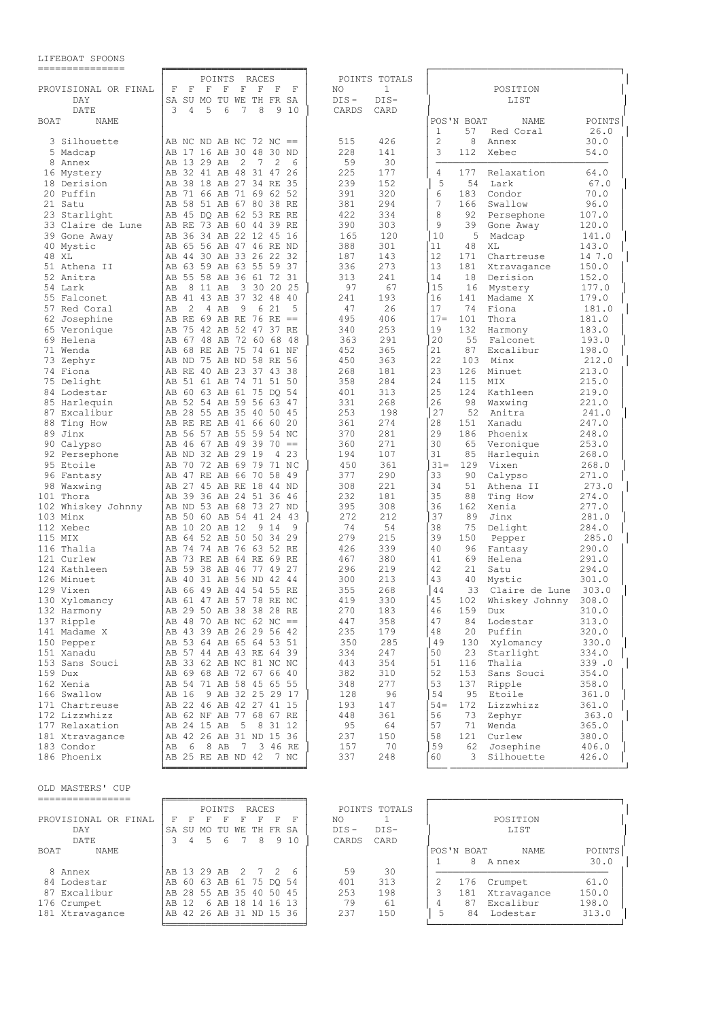| LIFEBOAT SPOONS |
|-----------------|
|-----------------|

| ===============              |                                                                                                                          |                          |                                                              |
|------------------------------|--------------------------------------------------------------------------------------------------------------------------|--------------------------|--------------------------------------------------------------|
|                              | POINTS<br>RACES                                                                                                          | POINTS TOTALS            |                                                              |
| PROVISIONAL OR FINAL         | F<br>$\mathbf F$<br>$\mathbf F$<br>F<br>F<br>$\mathbf F$<br>F<br>F                                                       | 1<br>ΝO                  | POSITION                                                     |
| DAY                          | SA<br>SU MO TU WE TH FR SA                                                                                               | $DIS -$<br>$DIS-$        | LIST                                                         |
| DATE                         | 3<br>5<br>6<br>8<br>9<br>4<br>7<br>-10                                                                                   | CARDS<br>CARD            |                                                              |
| <b>BOAT</b><br>NAME          |                                                                                                                          |                          | POS'N BOAT<br>POINTS<br>NAME<br>1<br>57<br>26.0<br>Red Coral |
| 3 Silhouette                 | AB NC ND AB NC 72 NC $==$                                                                                                | 426<br>515               | $\overline{2}$<br>8<br>30.0<br>Annex                         |
| 5 Madcap                     | 17 16 AB<br>30 48<br>30 ND<br>AВ                                                                                         | 228<br>141               | 3<br>112<br>54.0<br>Xebec                                    |
| 8 Annex                      | AB 13 29 AB<br>2<br>$7\phantom{.0}$<br>$\overline{c}$<br>6                                                               | 59<br>30                 |                                                              |
| 16 Mystery                   | AB 32 41 AB 48 31 47 26                                                                                                  | 225<br>177               | 4<br>177<br>Relaxation<br>64.0                               |
| 18 Derision                  | 38 18 AB 27 34 RE 35<br>AВ                                                                                               | 239<br>152               | 5<br>54<br>Lark<br>67.0                                      |
| 20 Puffin                    | 71 66 AB 71 69 62 52<br>AB<br>58 51 AB 67 80 38 RE<br>AB                                                                 | 391<br>320<br>294<br>381 | 6<br>183<br>70.0<br>Condor<br>7<br>166<br>Swallow<br>96.0    |
| 21 Satu<br>23 Starlight      | 45 DO AB 62 53 RE RE<br>AB                                                                                               | 422<br>334               | 8<br>92<br>107.0<br>Persephone                               |
| 33 Claire de Lune            | 73 AB<br>60 44 39 RE<br>AB<br>RE                                                                                         | 390<br>303               | 9<br>120.0<br>39<br>Gone Away                                |
| 39 Gone Away                 | 36 34 AB 22 12 45 16<br>AB                                                                                               | 165<br>120               | 10<br>5<br>Madcap<br>141.0                                   |
| 40 Mystic                    | 65 56 AB 47 46 RE ND<br>AB                                                                                               | 388<br>301               | 11<br>48<br>XL<br>143.0                                      |
| 48 XL                        | 44 30 AB 33 26 22 32<br>AB                                                                                               | 187<br>143               | 12<br>14 7.0<br>171<br>Chartreuse                            |
| 51 Athena II                 | 63 59 AB 63 55 59 37<br>AВ                                                                                               | 273<br>336               | 13<br>181<br>150.0<br>Xtravagance                            |
| 52 Anitra                    | 55 58 AB 36 61 72 31<br>AB                                                                                               | 313<br>241               | 14<br>18<br>152.0<br>Derision                                |
| 54 Lark                      | AB<br>8 11 AB<br>3 30 20<br>25                                                                                           | 97<br>67                 | 15<br>177.0<br>16<br>Mystery                                 |
| 55 Falconet                  | 41 43 AB<br>37 32 48<br>- 40<br>AВ                                                                                       | 241<br>193               | 16<br>141<br>179.0<br>Madame X                               |
| 57 Red Coral                 | 9<br>6 21<br>2<br>4 AB<br>5<br>AВ                                                                                        | 26<br>47                 | 17<br>74<br>Fiona<br>181.0                                   |
| 62 Josephine<br>65 Veronique | RE 69 AB RE 76<br>RE<br>AВ<br>$\qquad \qquad ==$<br>75 42 AB 52 47 37 RE<br>AB                                           | 406<br>495<br>253<br>340 | $17 =$<br>101<br>Thora<br>181.0<br>19<br>132<br>183.0        |
|                              | 67 48 AB 72 60 68<br>-48                                                                                                 | 363<br>291               | Harmony<br>20<br>55<br>193.0                                 |
| 69 Helena<br>71 Wenda        | AB<br>68 RE AB 75 74 61 NF<br>AB                                                                                         | 452<br>365               | Falconet<br>21<br>87<br>Excalibur<br>198.0                   |
| 73 Zephyr                    | ND 75 AB ND 58 RE<br>56<br>AB                                                                                            | 363<br>450               | 22<br>103<br>Minx<br>212.0                                   |
| 74 Fiona                     | AB RE 40 AB 23 37 43 38                                                                                                  | 268<br>181               | 23<br>126<br>Minuet<br>213.0                                 |
| 75 Delight                   | 51 61 AB 74 71 51 50<br>AВ                                                                                               | 358<br>284               | 24<br>115<br>MIX<br>215.0                                    |
| 84 Lodestar                  | 60 63 AB<br>61 75 DO 54<br>AВ                                                                                            | 313<br>401               | 25<br>124<br>Kathleen<br>219.0                               |
| 85 Harlequin                 | 52 54 AB 59 56 63 47<br>AB                                                                                               | 331<br>268               | 26<br>221.0<br>98<br>Waxwing                                 |
| 87 Excalibur                 | AB<br>28 55 AB 35 40 50 45                                                                                               | 253<br>198               | 27<br>52<br>Anitra<br>241.0                                  |
| 88 Ting How                  | AB RE RE AB 41 66 60 20                                                                                                  | 361<br>274               | 28<br>247.0<br>151<br>Xanadu                                 |
| 89 Jinx                      | 56 57 AB 55 59 54 NC<br>AB                                                                                               | 370<br>281               | 29<br>186<br>248.0<br>Phoenix                                |
| 90 Calypso                   | 46 67 AB 49 39 70<br>AB<br>$==$                                                                                          | 271<br>360               | 30<br>65<br>253.0<br>Veronique                               |
| 92 Persephone                | AB ND 32 AB 29 19<br>4 2 3                                                                                               | 194<br>107               | 31<br>85<br>268.0<br>Harlequin                               |
| 95 Etoile                    | 70 72 AB 69 79<br>AВ<br>71 NC                                                                                            | 450<br>361               | $31 -$<br>129<br>Vixen<br>268.0                              |
| 96 Fantasy<br>98 Waxwing     | 47 RE AB<br>66 70 58 49<br>AB<br>27 45 AB RE 18<br>44 ND                                                                 | 290<br>377<br>308<br>221 | 33<br>90<br>271.0<br>Calypso<br>34<br>273.0<br>51            |
| 101 Thora                    | AB<br>39 36 AB 24 51 36 46<br>AB                                                                                         | 232<br>181               | Athena II<br>35<br>88<br>Ting How<br>274.0                   |
| 102 Whiskey Johnny           | ND 53 AB<br>68 73 27 ND<br>  AB                                                                                          | 308<br>395               | 36<br>162<br>Xenia<br>277.0                                  |
| 103 Minx                     | 50 60 AB 54 41 24<br>AB<br>-43                                                                                           | 272<br>212               | 37<br>89<br>281.0<br>Jinx                                    |
| 112 Xebec                    | AB<br>10 20 AB 12<br>9 1 4<br>9                                                                                          | 74<br>54                 | 38<br>75<br>Delight<br>284.0                                 |
| 115 MIX                      | 64 52 AB 50 50 34 29<br>AВ                                                                                               | 279<br>215               | 39<br>150<br>285.0<br>Pepper                                 |
| 116 Thalia                   | 74 74 AB 76 63 52 RE<br>AВ                                                                                               | 426<br>339               | 40<br>96<br>290.0<br>Fantasy                                 |
| 121 Curlew                   | 73 RE AB<br>AB<br>64 RE<br>69 RE                                                                                         | 380<br>467               | 41<br>69<br>291.0<br>Helena                                  |
| 124 Kathleen                 | 59 38 AB 46 77 49 27<br>AB                                                                                               | 296<br>219               | 42<br>21<br>294.0<br>Satu                                    |
| 126 Minuet                   | 40 31 AB 56 ND 42 44<br>AB                                                                                               | 213<br>300               | 43<br>40<br>Mystic<br>301.0                                  |
| 129 Vixen                    | 66 49 AB<br>AB<br>44 54 55 RE                                                                                            | 268<br>355               | 44<br>33<br>Claire de Lune<br>303.0                          |
| 130 Xylomancy                | 61 47 AB 57 78 RE NC<br>AB                                                                                               | 419<br>330               | 45<br>308.0<br>102<br>Whiskey Johnny                         |
| 132 Harmony                  | AB 29 50 AB 38 38 28 RE                                                                                                  | 270<br>183               | 46<br>159<br>310.0<br>Dux                                    |
| 137 Ripple                   | AB 48 70 AB NC 62 NC ==<br>AB 43 39 AB 26 29 56 42                                                                       | 447<br>358<br>235<br>179 | 47<br>313.0<br>84<br>Lodestar<br>48<br>20                    |
| 141 Madame X<br>150 Pepper   | AB 53 64 AB 65 64 53 51                                                                                                  | 350<br>285               | Puffin<br>320.0<br>49<br>130 Xylomancy<br>330.0              |
| 151 Xanadu                   | AB 57 44 AB 43 RE 64 39                                                                                                  | 334<br>247               | 50<br>23<br>Starlight<br>334.0                               |
| 153 Sans Souci               | AB 33 62 AB NC 81 NC NC                                                                                                  | 443<br>354               | 51<br>116<br>Thalia<br>339.0                                 |
| 159 Dux                      | AB 69 68 AB 72 67 66 40                                                                                                  | 382<br>310               | 52<br>Sans Souci<br>153<br>354.0                             |
| 162 Xenia                    | AB 54 71 AB 58 45 65 55                                                                                                  | 277<br>348               | 53<br>137<br>Ripple<br>358.0                                 |
| 166 Swallow                  | 9 AB 32 25 29 17<br>AB 16                                                                                                | 128<br>96                | 54<br>95 Etoile<br>361.0                                     |
| 171 Chartreuse               | AB 22 46 AB 42 27 41 15                                                                                                  | 193<br>147               | $54-$<br>172<br>Lizzwhizz<br>361.0                           |
| 172 Lizzwhizz                | AB 62 NF AB 77 68 67 RE                                                                                                  | 448<br>361               | 56<br>73<br>Zephyr<br>363.0                                  |
| 177 Relaxation               | AB 24 15 AB<br>5 8 31 12                                                                                                 | 95<br>64                 | 57<br>71<br>Wenda<br>365.0                                   |
| 181 Xtravagance              | AB 42 26 AB 31 ND 15 36                                                                                                  | 237<br>150               | 121<br>Curlew<br>58<br>380.0                                 |
| 183 Condor                   | AB<br>6 8 AB<br>7 3 46 RE                                                                                                | 70<br>157                | 59<br>62 Josephine<br>406.0                                  |
| 186 Phoenix                  | AB 25 RE AB ND 42 7 NC                                                                                                   | 337<br>248               | 60<br>3<br>Silhouette<br>426.0                               |
| OLD MASTERS' CUP             |                                                                                                                          |                          |                                                              |
| ================             | RACES                                                                                                                    | POINTS TOTALS            |                                                              |
| PROVISIONAL OR FINAL         | POINTS<br>$\mathbf{F}$<br>$\mathbb{F}$<br>$\mathbf F$<br>$\mathbb F$<br>$\mathbf{F}$<br>F<br>$\mathbb F$<br>$\mathbb{F}$ | $\mathbf{1}$<br>ΝO       | POSITION                                                     |
| DAY                          | SA SU MO TU WE TH FR SA                                                                                                  | $DIS-$<br>DIS-           | LIST                                                         |
| DATE                         | 5<br>6<br>3 4<br>7 8<br>9 10                                                                                             | CARDS<br>CARD            |                                                              |
| BOAT<br>NAME                 |                                                                                                                          |                          | POS'N BOAT<br>POINTS<br>NAME                                 |
|                              |                                                                                                                          |                          | 8 A nnex<br>30.0<br>$\mathbf{1}$                             |
| 8 Annex                      | AB 13 29 AB<br>2<br>$\overline{7}$<br>2<br>- 6                                                                           | 59<br>30                 |                                                              |
| 84 Lodestar                  | AB 60 63 AB 61 75 DQ 54                                                                                                  | 313<br>401               | 2<br>61.0<br>176 Crumpet                                     |
| 87 Excalibur                 | AB 28 55 AB 35 40 50 45                                                                                                  | 253<br>198               | 3<br>181 Xtravagance<br>150.0                                |
| 176 Crumpet                  | AB 12 6 AB 18 14 16 13                                                                                                   | 79<br>61                 | 4<br>87 Excalibur<br>198.0                                   |
| 181 Xtravagance              | AB 42 26 AB 31 ND 15 36                                                                                                  | 237<br>150               | 5<br>84 Lodestar<br>313.0                                    |

╘════════════════════════╛ └─────────────────────────────────┘